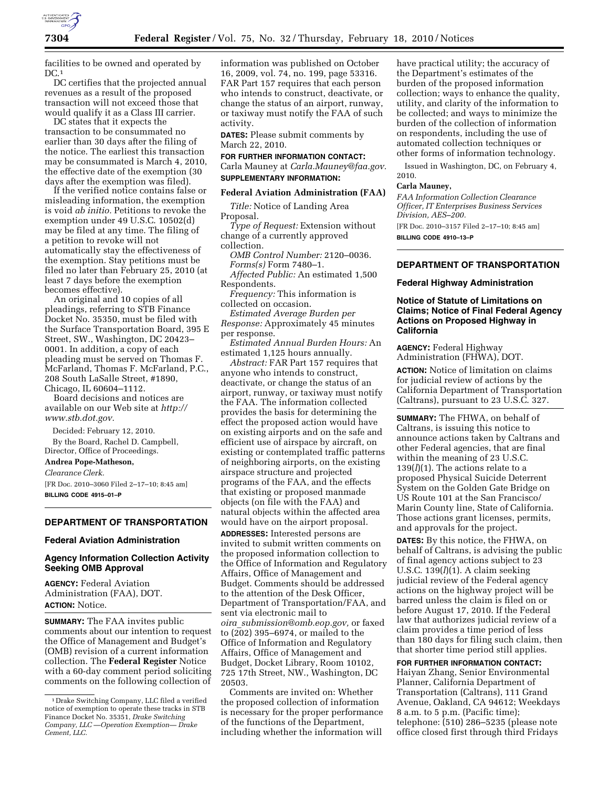

facilities to be owned and operated by  $DC.1$ 

DC certifies that the projected annual revenues as a result of the proposed transaction will not exceed those that would qualify it as a Class III carrier.

DC states that it expects the transaction to be consummated no earlier than 30 days after the filing of the notice. The earliest this transaction may be consummated is March 4, 2010, the effective date of the exemption (30 days after the exemption was filed).

If the verified notice contains false or misleading information, the exemption is void *ab initio.* Petitions to revoke the exemption under 49 U.S.C. 10502(d) may be filed at any time. The filing of a petition to revoke will not automatically stay the effectiveness of the exemption. Stay petitions must be filed no later than February 25, 2010 (at least 7 days before the exemption becomes effective).

An original and 10 copies of all pleadings, referring to STB Finance Docket No. 35350, must be filed with the Surface Transportation Board, 395 E Street, SW., Washington, DC 20423– 0001. In addition, a copy of each pleading must be served on Thomas F. McFarland, Thomas F. McFarland, P.C., 208 South LaSalle Street, #1890, Chicago, IL 60604–1112.

Board decisions and notices are available on our Web site at *http:// www.stb.dot.gov.* 

Decided: February 12, 2010.

By the Board, Rachel D. Campbell, Director, Office of Proceedings.

#### **Andrea Pope-Matheson,**

*Clearance Clerk.* 

[FR Doc. 2010–3060 Filed 2–17–10; 8:45 am] **BILLING CODE 4915–01–P** 

#### **DEPARTMENT OF TRANSPORTATION**

#### **Federal Aviation Administration**

## **Agency Information Collection Activity Seeking OMB Approval**

**AGENCY:** Federal Aviation Administration (FAA), DOT. **ACTION:** Notice.

**SUMMARY:** The FAA invites public comments about our intention to request the Office of Management and Budget's (OMB) revision of a current information collection. The **Federal Register** Notice with a 60-day comment period soliciting comments on the following collection of

information was published on October 16, 2009, vol. 74, no. 199, page 53316. FAR Part 157 requires that each person who intends to construct, deactivate, or change the status of an airport, runway, or taxiway must notify the FAA of such activity.

**DATES:** Please submit comments by March 22, 2010.

## **FOR FURTHER INFORMATION CONTACT:**  Carla Mauney at *Carla.Mauney@faa.gov.*  **SUPPLEMENTARY INFORMATION:**

**Federal Aviation Administration (FAA)**  *Title:* Notice of Landing Area Proposal.

*Type of Request:* Extension without change of a currently approved collection.

*OMB Control Number:* 2120–0036.

*Forms(s)* Form 7480–1.

*Affected Public:* An estimated 1,500 Respondents.

*Frequency:* This information is collected on occasion.

*Estimated Average Burden per Response:* Approximately 45 minutes per response.

*Estimated Annual Burden Hours:* An estimated 1,125 hours annually.

*Abstract:* FAR Part 157 requires that anyone who intends to construct, deactivate, or change the status of an airport, runway, or taxiway must notify the FAA. The information collected provides the basis for determining the effect the proposed action would have on existing airports and on the safe and efficient use of airspace by aircraft, on existing or contemplated traffic patterns of neighboring airports, on the existing airspace structure and projected programs of the FAA, and the effects that existing or proposed manmade objects (on file with the FAA) and natural objects within the affected area would have on the airport proposal.

**ADDRESSES:** Interested persons are invited to submit written comments on the proposed information collection to the Office of Information and Regulatory Affairs, Office of Management and Budget. Comments should be addressed to the attention of the Desk Officer, Department of Transportation/FAA, and sent via electronic mail to *oira*\_*submission@omb.eop.gov,* or faxed to (202) 395–6974, or mailed to the Office of Information and Regulatory Affairs, Office of Management and Budget, Docket Library, Room 10102, 725 17th Street, NW., Washington, DC 20503.

Comments are invited on: Whether the proposed collection of information is necessary for the proper performance of the functions of the Department, including whether the information will

have practical utility; the accuracy of the Department's estimates of the burden of the proposed information collection; ways to enhance the quality, utility, and clarity of the information to be collected; and ways to minimize the burden of the collection of information on respondents, including the use of automated collection techniques or other forms of information technology.

Issued in Washington, DC, on February 4, 2010.

### **Carla Mauney,**

*FAA Information Collection Clearance Officer, IT Enterprises Business Services Division, AES–200.* 

[FR Doc. 2010–3157 Filed 2–17–10; 8:45 am] **BILLING CODE 4910–13–P** 

**DEPARTMENT OF TRANSPORTATION** 

#### **Federal Highway Administration**

## **Notice of Statute of Limitations on Claims; Notice of Final Federal Agency Actions on Proposed Highway in California**

**AGENCY:** Federal Highway Administration (FHWA), DOT.

**ACTION:** Notice of limitation on claims for judicial review of actions by the California Department of Transportation (Caltrans), pursuant to 23 U.S.C. 327.

**SUMMARY:** The FHWA, on behalf of Caltrans, is issuing this notice to announce actions taken by Caltrans and other Federal agencies, that are final within the meaning of 23 U.S.C.  $139(l)(1)$ . The actions relate to a proposed Physical Suicide Deterrent System on the Golden Gate Bridge on US Route 101 at the San Francisco/ Marin County line, State of California. Those actions grant licenses, permits, and approvals for the project.

**DATES:** By this notice, the FHWA, on behalf of Caltrans, is advising the public of final agency actions subject to 23 U.S.C. 139(*l*)(1). A claim seeking judicial review of the Federal agency actions on the highway project will be barred unless the claim is filed on or before August 17, 2010. If the Federal law that authorizes judicial review of a claim provides a time period of less than 180 days for filing such claim, then that shorter time period still applies.

**FOR FURTHER INFORMATION CONTACT:** 

Haiyan Zhang, Senior Environmental Planner, California Department of Transportation (Caltrans), 111 Grand Avenue, Oakland, CA 94612; Weekdays 8 a.m. to 5 p.m. (Pacific time); telephone: (510) 286–5235 (please note office closed first through third Fridays

<sup>1</sup> Drake Switching Company, LLC filed a verified notice of exemption to operate these tracks in STB Finance Docket No. 35351, *Drake Switching Company, LLC —Operation Exemption— Drake Cement, LLC.*